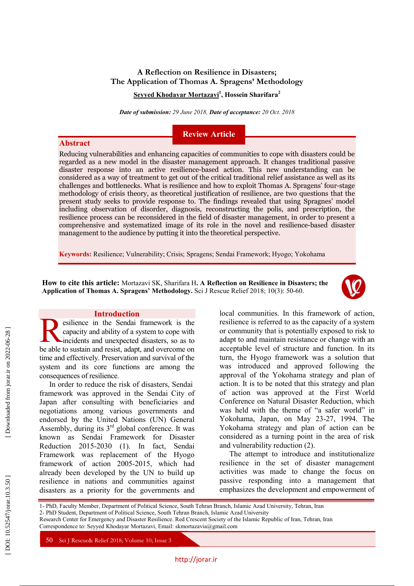# **A Reflection on Resilience in Disasters; The Application of Thomas A . Spragens' Methodology**

**Seyyed Khodayar Mortazavi 1 , Hossein Sharifara 2**

*Date of submission: 29 June 2018, Date of acceptance: 20 Oct. 2018*

# **Review Article**

Reducing vulnerabilities and enhancing capacities of communities to cope with disasters could be regarded as a new model in the disaster management approach. It changes traditional passive disaster response into an active resilience -based action. This new understanding can be considered as a way of treatment to get out of the critical traditional relief assistance as well as its challenges and bottlenecks. What is resilience and how to exploit Thomas A . Spragens' four -stage methodology of crisis theory, as theoretical justification of resilience, are two questions that the present study seeks to provide response to. The findings revealed that using Spragnes' model including observation of disorder, diagnosis, reconstructing the polis , and prescription, the resilience process can be reconsidered in the field of disaster management, in order to present a comprehensive and systematized image of its role in the novel and resilience -based disaster management to the audience by putting it into the theoretical perspective .

**Keywords:** Resilience; Vulnerability; Crisis; Spragens; Sendai Framework; Hyogo; Yokohama

**How to cite this article:** Mortazavi SK, Sharifara H**. A Reflection on Resilience in Disasters; the**  Application of Thomas A. Spragens' Methodology. Sci J Rescue Relief 2018; 10(3): 50-60.



#### **Introduction**

**Abstract**

esilience in the Sendai framework is the capacity and ability of a system to cope with incidents and unexpected disasters, so as to esilience in the Sendai framework is the capacity and ability of a system to cope with incidents and unexpected disasters, so as to be able to sustain and resist, adapt, and overcome on time and effectively. Preservation and survival of the system and its core functions are among the consequences of resilience .

In order to reduce the risk of disasters, Sendai framework was approved in the Sendai City of Japan after consulting with beneficiaries and negotiations among various governments and endorsed by the United Nations (UN) General Assembly, during its  $3<sup>rd</sup>$  global conference. It was<br>known as Sendai Framework for Disaster Reduction 2015-2030 (1). In fact, Sendai Framework was replacement of the Hyogo framework of action 2005 -2015, which had already been developed by the UN to build up resilience in nations and communities against disasters as a priority for the governments and

local communities. In this framework of action, resilience is referred to as the capacity of a system or community that is potentially exposed to risk to adapt to and maintain resistance or change with an acceptable level of structure and function. In its turn, the Hyogo framework was a solution that was introduced and approved following the approval of the Yokohama strategy and plan of action. It is to be noted that this strategy and plan of action was approved at the First World Conference on Natural Disaster Reduction, which was held with the theme of "a safer world" in Yokohama, Japan, on May 23 -27, 1994. The Yokohama strategy and plan of action can be considered as a turning point in the area of risk and vulnerability reduction (2).

The attempt to introduce and institutionalize resilience in the set of disaster management activities was made to change the focus on passive responding into a management that emphasizes the development and empowerment of

1 - PhD , Faculty Member, Department of Political Science, South Tehran Branch, Islamic Azad University, Tehran, Iran 2 - PhD Student , Department of Political Science, South Tehran Branch, Islamic Azad University

Research Center for Emergency and Disaster Resilience . Red Crescent Society of the Islamic Republic of Iran, Tehran, Iran

Correspondence to: Seyyed Khodayar Mortazavi, Email: skmortazavia@gmail.com

50 Sci J Rescue & Relief 2018; Volume 10; Issue 3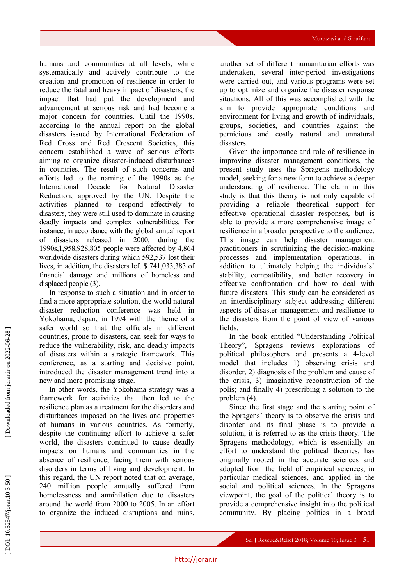humans and communities at all levels, while systematically and actively contribute to the creation and promotion of resilience in order to reduce the fatal and heavy impact of disasters; the impact that had put the development and advancement at serious risk and had become a major concern for countries. Until the 1990s, according to the annual report on the global disasters issued by International Federation of Red Cross and Red Crescent Societies, this concern established a wave of serious efforts aiming to organize disaster -induced disturbances in countries. The result of such concerns and efforts led to the naming of the 1990s as the International Decade for Natural Disaster Reduction, approved by the UN. Despite the activities planned to respond effectively to disasters, the y were still used to dominate in causing deadly impacts and complex vulnerabilities. For instance, in accordance with the global annual report of disasters released in 2000, during the 1990s,1,958,928,805 people were affected by 4,864 worldwide disasters during which 592,537 lost their lives , in addition, the disasters left \$ 741,033,383 of financial damage and millions of homeless and displaced people (3).

In response to such a situation and in order to find a more appropriate solution, the world natural disaster reduction conference was held in Yokohama, Japan, in 1994 with the theme of a safer world so that the officials in different countries, prone to disasters, can seek for ways to reduce the vulnerability, risk, and deadly impacts of disasters within a strategic framework. This conference, as a starting and decisive point, introduced the disaster management trend into a new and more promising stage.

In other words, the Yokohama strategy was a framework for activities that then led to the resilience plan as a treatment for the disorders and disturbances imposed on the lives and properties of humans in various countries. As formerly, despite the continuing effort to achieve a safer world, the disasters continued to cause deadly impacts on humans and communities in the absence of resilience, facing them with serious disorders in terms of living and development. In this regard, the UN report noted that on average, 240 million people annually suffered from homelessness and annihilation due to disasters around the world from 2000 to 2005. In an effort to organize the induced disruptions and ruins,

another set of different humanitarian efforts was undertaken, several inter -period investigations were carried out, and various programs were set up to optimize and organize the disaster response situations. All of this was accomplished with the aim to provide appropriate conditions and environment for living and growth of individuals, groups, societies, and countries against the pernicious and costly natural and unnatural disasters.

Given the importance and role of resilience in improving disaster management conditions, the present study uses the Spragens methodology model, seeking for a new form to achieve a deeper understanding of resilience. The claim in this study is that this theory is not only capable of providing a reliable theoretical support for effective operational disaster responses, but is able to provide a more comprehensive image of resilience in a broader perspective to the audience. This image can help disaster management practitioners in scrutinizing the decision -making processes and implementation operations, in addition to ultimately helping the individuals' stability, compatibility, and better recovery in effective confrontation and how to deal with future disasters. This study can be considered as an interdisciplinary subject addressing different aspects of disaster management and resilience to the disasters from the point of view of various fields.

In the book entitled "Understanding Political Theory", Spragens reviews explorations of political philosophers and presents a 4 -level model that includes 1) observing crisis and disorder, 2) diagnosis of the problem and cause of the crisis, 3) imaginative reconstruction of the polis; and finally 4) prescribing a solution to the problem (4).

Since the first stage and the starting point of the Spragens ' theory is to observe the crisis and disorder and its final phase is to provide a solution, it is referred to as the crisis theory. The Spragens methodology, which is essentially an effort to understand the political theories, has originally rooted in the accurate sciences and adopted from the field of empirical sciences, in particular medical sciences, and applied in the social and political sciences. In the Spragens viewpoint, the goal of the political theory is to provide a comprehensive insight into the political community. By placing politics in a broad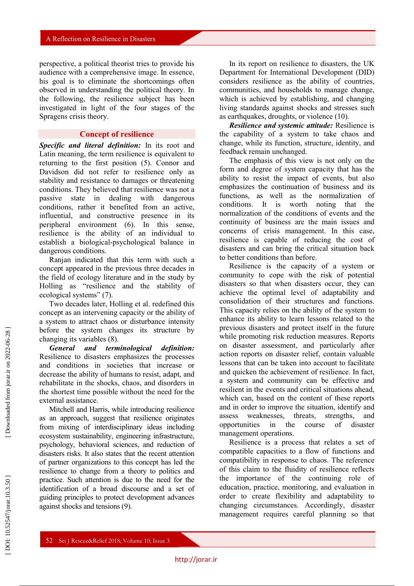perspective, a political theorist tries to provide his audience with a comprehensive image. In essence, his goal is to eliminate the shortcomings often observed in understanding the political theory. In the following, the resilience subject has been investigated in light of the four stages of the Spragens crisis theory.

### **Concept of resilience**

*Specific and literal definition :* In its root and Latin meaning, the term resilience is equivalent to returning to the first position (5). Connor and Davidson did not refer to resilience only as stability and resistance to damages or threatening conditions. They believed that resilience was not a passive state in dealing with dangerous conditions, rather it benefited from an active, influential, and constructive presence in its peripheral environment (6). In this sense, resilience is the ability of an individual to establish a biological -psychological balance in dangerous conditions.

Ranjan indicated that this term with such a concept appeared in the previous three decades in the field of ecology literature and in the study by Holling as " resilience and the stability of ecological systems" (7).

Two decades later, Holling et al. redefined this concept as an intervening capacity or the ability of a system to attract chaos or disturbance intensity before the system changes its structure by changing its variables (8).

*General* and terminological *:* Resilience to disasters emphasizes the processes and conditions in societies that increase or decrease the ability of humans to resist, adapt, and rehabilitate in the shocks, chaos, and disorders in the shortest time possible without the need for the external assistance.

Mitchell and Harris, while introducing resilience as an approach, suggest that resilience originates from mixing of interdisciplinary ideas including ecosystem sustainability, engineering infrastructure, psychology, behavioral sciences, and reduction of disasters risks. It also states that the recent attention of partner organizations to this concept has led the resilience to change from a theory to politics and practice. Such attention is due to the need for the identification of a broad discourse and a set of guiding principles to protect development advances against shocks and tensions (9).

In its report on resilience to disasters, the UK Department for International Development (DID) considers resilience as the ability of countries, communities, and households to manage change, which is achieved by establishing, and changing living standards against shocks and stresses such as earthquakes, droughts, or violence (10).

*Resilience and systemic attitude :* Resilience is the capability of a system to take chaos and change, while its function, structure, identity, and feedback remain unchanged.

The emphasis of this view is not only on the form and degree of system capacity that has the ability to resist the impact of events, but also emphasizes the continuation of business and its functions, as well as the normalization of conditions. It is worth noting that the normalization of the conditions of events and the continuity of business are the main issues and concerns of crisis management. In this case, resilience is capable of reducing the cost of disasters and can bring the critical situation back to better conditions than before.

Resilience is the capacity of a system or community to cope with the risk of potential disasters so that when disasters occur, they can achieve the optimal level of adaptability and consolidation of their structures and functions. This capacity relies on the ability of the system to enhance its ability to learn lessons related to the previous disasters and protect itself in the future while promoting risk reduction measures. Reports on disaster assessment, and particularl y after action reports on disaster relief, contain valuable lessons that can be taken into account to facilitate and quicken the achievement of resilience. In fact, a system and community can be effective and resilient in the events and critical situations ahead, which can, based on the content of these reports and in order to improve the situation, identify and assess weaknesses, threats, strengths, and opportunities in the course of disaster management operations .

Resilience is a process that relates a set of compatible capacities to a flow of functions and compatibility in response to chaos. The reference of this claim to the fluidity of resilience reflects the importance of the continuing role of education, practice, monitoring, and evaluation in order to create flexibility and adaptability to changing circumstances. Accordingly, disaster management requires careful planning so that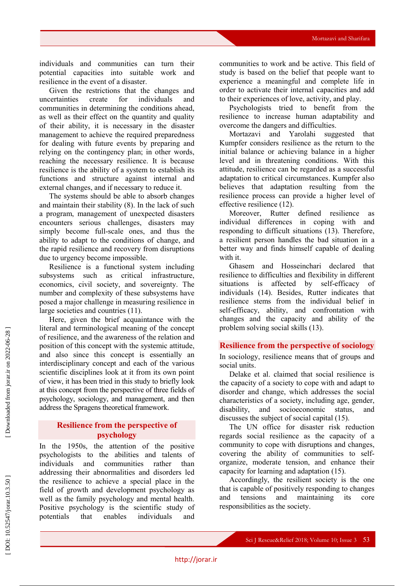individuals and communities can turn their potential capacities into suitable work and resilience in the event of a disaster .

Given the restrictions that the changes and uncertainties create for individuals and communities in determining the conditions ahead, as well as their effect on the quantity and quality of their ability, it is necessary in the disaster management to achieve the required preparedness for dealing with future events by preparing and relying on the contingency plan; in other words, reaching the necessary resilience. It is because resilience is the ability of a system to establish its functions and structure against internal and external changes, and if necessary to reduce it.

The systems should be able to absorb changes and maintain their stability (8). In the lack of such a program, management of unexpected disasters encounters serious challenges, disasters may simply become full -scale ones, and thus the ability to adapt to the conditions of change, and the rapid resilience and recovery from disruptions due to urgency become impossible.

Resilience is a functional system including subsystems such as critical infrastructure, economics, civil society, and sovereignty. The number and complexity of these subsystems have posed a major challenge in measuring resilience in large societies and countries (11).

Here, given the brief acquaintance with the literal and terminological meaning of the concept of resilience, and the awareness of the relation and position of this concept with the systemic attitude, and also since this concept is essentially an interdisciplinary concept and each of the various scientific disciplines look at it from its own point of view, it has been tried in this study to briefly look at this concept from the perspective of three fields of psychology, sociology, and management, and then address the Spragens theoretical framework.

# **Resilience from the perspective of psychology**

In the 1950s, the attention of the positive psychologists to the abilities and talents of individuals and communities rather than addressing their abnormalities and disorders led the resilience to achieve a special place in the field of growth and development psychology as well as the family psychology and mental health. Positive psychology is the scientific study of potentials that enables individuals and

communities to work and be active. This field of study is based on the belief that people want to experience a meaningful and complete life in order to activate their internal capacities and add to their experiences of love, activity, and play.

Psychologists tried to benefit from the resilience to increase human adaptability and overcome the dangers and difficulties.

Mortazavi and Yarolahi suggested that Kumpfer considers resilience as the return to the initial balance or achieving balance in a higher level and in threatening conditions. With this attitude, resilience can be regarded as a successful adaptation to critical circumstances. Kumpfer also believes that adaptation resulting from the resilience process can provide a higher level of effective resilience (12).

Moreover, Rutter defined resilience as individual differences in coping with and responding to difficult situations (13). Therefore, a resilient person handles the bad situation in a better way and finds himself capable of dealing with it.

Ghasem and Hosseinchari declared that resilience to difficulties and flexibility in different situations is affected by self-efficacy of individuals (14). Besides, Rutter indicates that resilience stems from the individual belief in self-efficacy, ability, and confrontation with changes and the capacity and ability of the problem solving social skills (13).

### **Resilience from the perspective of sociology**

In sociology, resilience means that of groups and social units .

Delake et al. claimed that social resilience is the capacity of a society to cope with and adapt to disorder and change, which addresses the social characteristics of a society, including age, gender, disability, and socioeconomic status, and discusses the subject of social capital (15).

The UN office for disaster risk reduction regards social resilience as the capacity of a community to cope with disruptions and changes, covering the ability of communities to selforganize, moderate tension, and enhance their capacity for learning and adaptation (15).

Accordingly, the resilient society is the one that is capable of positively responding to changes and tensions and maintaining its core responsibilities as the society.

DOI: 10.52547/jorar.10.3.50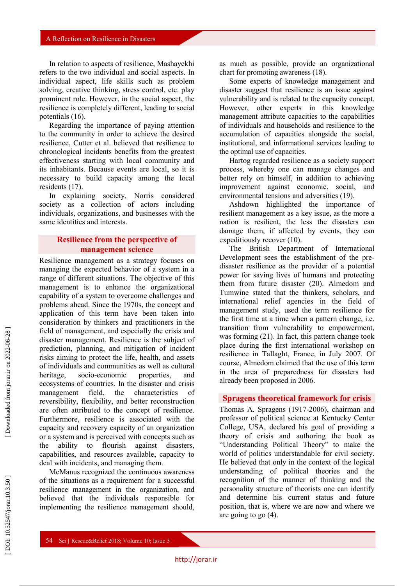In relation to aspects of resilience, Mashayekhi refers to the two individual and social aspects . In individual aspect, life skills such as problem solving, creative thinking, stress control, etc. play prominent role. However, in the social aspect, the resilience is completely different, leading to social potentials (16).

Regarding the importance of paying attention to the community in order to achieve the desired resilience, Cutter et al. believed that resilience to chronological incidents benefits from the greatest effectiveness starting with local community and its inhabitants. Because events are local, so it is necessary to build capacity among the local residents (17).

In explaining society, Norris considered society as a collection of actors including individuals, organizations, and businesses with the same identities and interests.

## **Resilience from the perspective of management science**

Resilience management as a strategy focuses on managing the expected behavior of a system in a range of different situations. The objective of this management is to enhance the organizational capability of a system to overcome challenges and problems ahead. Since the 1970s, the concept and application of this term have been taken into consideration by thinkers and practitioners in the field of management, and especially the crisis and disaster management. Resilience is the subject of prediction, planning, and mitigation of incident risks aiming to protect the life, health, and assets of individuals and communities as well as cultural heritage, socio-economic properties, and ecosystems of countries. In the disaster and crisis management field, the characteristics of reversibility, flexibility, and better reconstruction are often attributed to the concept of resilience. Furthermore, resilience is associated with the capacity and recovery capacity of an organization or a system and is perceived with concepts such as the ability to flourish against disasters, capabilities, and resources available, capacity to deal with incidents, and managing them.

McManus recognized the continuous awareness of the situations as a requirement for a successful resilience management in the organization, and believed that the individuals responsible for implementing the resilience management should,

as much as possible, provide an organizational chart for promoting awareness (18).

Some experts of knowledge management and disaster suggest that resilience is an issue against vulnerability and is related to the capacity concept. However, other experts in this knowledge management attribute capacities to the capabilities of individuals and households and resilience to the accumulation of capacities alongside the social, institutional, and informational services leading to the optimal use of capacities.

Hartog regarded resilience as a society support process, whereby one can manage changes and better rely on himself, in addition to achieving improvement against economic, social, and environmental tensions and adversities (19).

Ashdown highlighted the importance of resilient management as a key issue, as the more a nation is resilient, the less the disasters can damage them, if affected by events, they can expeditiously recover (10).

The British Department of International Development sees the establishment of the pre disaster resilience as the provider of a potential power for saving lives of humans and protecting them from future disaster (20). Almedom and Tumwine stated that the thinkers, scholars, and international relief agencies in the field of management study, used the term resilience for the first time at a time when a pattern change, i.e. transition from vulnerability to empowerment, was forming (21). In fact, this pattern change took place during the first international workshop on resilience in Tallaght, France, in July 2007. Of course, Almedom claimed that the use of this term in the area of preparedness for disasters had already been proposed in 2006.

## **Spragens theoretical framework for crisis**

Thomas A . Spragens (1917 -2006), chairman and professor of political science at Kentucky Center College, USA, declared his goal of providing a theory of crisis and authoring the book as "Understanding Political Theory" to make the world of politics understandable for civil society. He believed that only in the context of the logical understanding of political theories and the recognition of the manner of thinking and the personality structure of theorists one can identify and determine his current status and future position, that is, where we are now and where we are going to go (4).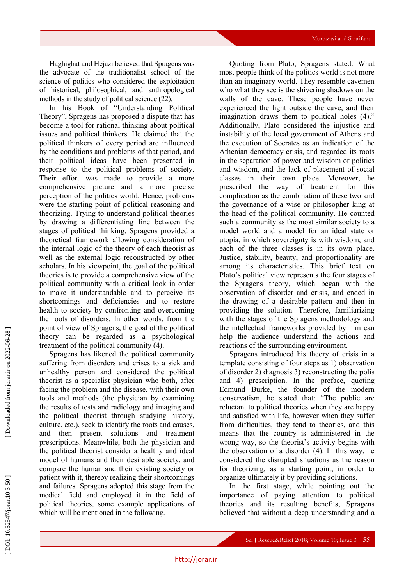Haghighat and Hejazi believed that Spragens was the advocate of the traditionalist school of the science of politics who considered the exploitation of historical, philosophical, and anthropological methods in the study of political science (22).

In his Book of "Understanding Political Theory " , Spragens has proposed a dispute that has become a tool for rational thinking about political issues and political thinkers. He claimed that the political thinkers of every period are influenced by the conditions and problems of that period, and their political ideas have been presented in response to the political problems of society. Their effort was made to provide a more comprehensive picture and a more precise perception of the politics world. Hence, problems were the starting point of political reasoning and theorizing. Trying to understand political theories by drawing a differentiating line between the stages of political thinking, Spragens provided a theoretical framework allowing consideration of the internal logic of the theory of each theorist as well as the external logic reconstructed by other scholars. In his viewpoint, the goal of the political theories is to provide a comprehensive view of the political community with a critical look in order to make it understandable and to perceive its shortcomings and deficiencies and to restore health to society by confronting and overcoming the roots of disorders. In other words, from the point of view of Spragens, the goal of the political theory can be regarded as a psychological treatment of the political community (4).

Spragens has likened the political community suffering from disorders and crises to a sick and unhealthy person and considered the political theorist as a specialist physician who both, after facing the problem and the disease, with their own tools and methods (the physician by examining the results of tests and radiology and imaging and the political theorist through studying history, culture, etc.), seek to identify the roots and causes, and then present solutions and treatment prescriptions. Meanwhile, both the physician and the political theorist consider a healthy and ideal model of humans and their desirable society, and compare the human and their existing society or patient with it, thereby realizing their shortcomings and failures. Spragens adopted this stage from the medical field and employed it in the field of political theories, some example applications of which will be mentioned in the following.

Quoting from Plato, Spragens stated: What most people think of the politics world is not more than an imaginary world. They resemble cavemen who what they see is the shivering shadows on the walls of the cave. These people have never experienced the light outside the cave, and their imagination draws them to political holes (4)." Additionally, Plato considered the injustice and instability of the local government of Athens and the execution of Socrates as an indication of the Athenian democracy crisis, and regarded its roots in the separation of power and wisdom or politics and wisdom, and the lack of placement of social classes in their own place. Moreover, he prescribed the way of treatment for this complication as the combination of these two and the governance of a wise or philosopher king at the head of the political community. He counted such a community as the most similar society to a model world and a model for an ideal state or utopia, in which sovereignty is with wisdom, and each of the three classes is in its own place. Justice, stability, beauty, and proportionality are among its characteristics. This brief text on Plato's political view represents the four stages of the Spragens theory, which began with the observation of disorder and crisis, and ended in the drawing of a desirable pattern and then in providing the solution. Therefore, familiarizing with the stages of the Spragens methodology and the intellectual frameworks provided by him can help the audience understand the actions and reactions of the surrounding environment.

Spragens introduced his theory of crisis in a template consisting of four steps as 1) observation of disorder 2) diagnosis 3) reconstructing the polis and 4) prescription. In the preface, quoting Edmund Burke, the founder of the modern conservatism, he stated that: "The public are reluctant to political theories when they are happy and satisfied with life, however when they suffer from difficulties, they tend to theories, and this means that the country is administered in the wrong way, so the theorist's activity begins with the observation of a disorder (4). In this way, he considered the disrupted situations as the reason for theorizing, as a starting point, in order to organize ultimately it by providing solutions.

In the first stage, while pointing out the importance of paying attention to political theories and its resulting benefits, Spragens believed that without a deep understanding and a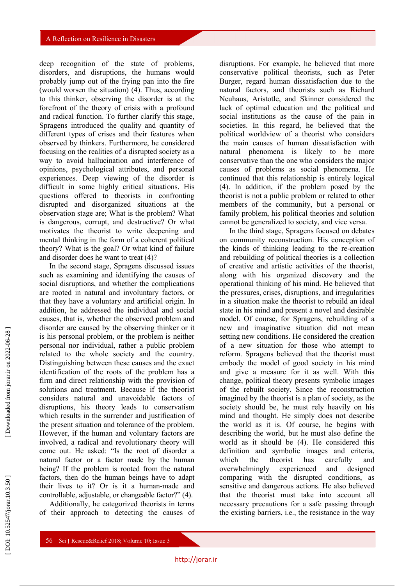deep recognition of the state of problems, disorders, and disruptions, the humans would probably jump out of the frying pan into the fire (would worsen the situation) (4). Thus, according to this thinker, observing the disorder is at the forefront of the theory of crisis with a profound and radical function. To further clarify this stage, Spragens introduced the quality and quantity of different types of crises and their features when observed by thinkers. Furthermore, he considered focusing on the realities of a disrupted society as a way to avoid hallucination and interference of opinions, psychological attributes, and personal experiences. Deep viewing of the disorder is difficult in some highly critical situations. His questions offered to theorists in confronting disrupted and disorganized situations at the observation stage are ; What is the problem? What is dangerous, corrupt, and destructive? Or what motivates the theorist to write deepening and mental thinking in the form of a coherent political theory? What is the goal? Or what kind of failure and disorder does he want to treat (4)?

In the second stage, Spragens discussed issues such as examining and identifying the causes of social disruptions, and whether the complications are rooted in natural and involuntary factors, or that they have a voluntary and artificial origin. In addition, he addressed the individual and social causes, that is, whether the observed problem and disorder are caused by the observing thinker or it is his personal problem, or the problem is neither personal nor individual, rather a public problem related to the whole society and the country. Distinguishing between these causes and the exact identification of the roots of the problem has a firm and direct relationship with the provision of solutions and treatment. Because if the theorist considers natural and unavoidable factors of disruptions, his theory leads to conservatism which results in the surrender and justification of the present situation and tolerance of the problem. However, if the human and voluntary factors are involved, a radical and revolutionary theory will come out. He asked: "Is the root of disorder a natural factor or a factor made by the human being? If the problem is rooted from the natural factors, then do the human beings have to adapt their lives to it? Or is it a human -made and controllable, adjustable, or changeable factor?" (4) .

Additionally, he categorized theorists in terms of their approach to detecting the causes of

disruptions. For example, he believed that more conservative political theorists, such as Peter Burger, regard human dissatisfaction due to the natural factors, and theorists such as Richard Neuhaus, Aristotle, and Skinner considered the lack of optimal education and the political and social institutions as the cause of the pain in societies. In this regard, he believed that the political worldview of a theorist who considers the main causes of human dissatisfaction with natural phenomena is likely to be more conservative than the one who considers the major causes of problems as social phenomena . He continued that this relationship is entirely logical (4). In addition, if the problem posed by the theorist is not a public problem or related to other members of the community, but a personal or family problem, his political theories and solution cannot be generalized to society, and vice versa.

In the third stage, Spragens focused on debates on community reconstruction. His conception of the kinds of thinking leading to the re -creation and rebuilding of political theories is a collection of creative and artistic activities of the theorist, along with his organized discovery and the operational thinking of his mind. He believed that the pressures, crises, disruptions, and irregularities in a situation make the theorist to rebuild an ideal state in his mind and present a novel and desirable model. Of course, for Spragens, rebuilding of a new and imaginative situation did not mean setting new conditions. He considered the creation of a new situation for those who attempt to reform. Spragens believed that the theorist must embody the model of good society in his mind and give a measure for it as well. With this change, political theory presents symbolic images of the rebuilt society. Since the reconstruction imagined by the theorist is a plan of society, as the society should be, he must rely heavily on his mind and thought. He simply does not describe the world as it is. Of course, he begins with describing the world, but he must also define the world as it should be (4). He considered this definition and symbolic images and criteria, which the theorist has carefully and overwhelmingly experienced and designed comparing with the disrupted conditions, as sensitive and dangerous actions. He also believed that the theorist must take into account all necessary precautions for a safe passing through the existing barriers, i.e., the resistance in the way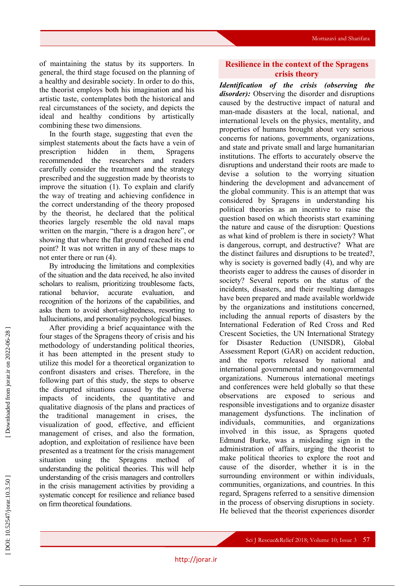of maintaining the status by its supporters. In general, the third stage focused on the planning of a healthy and desirable society. In order to do this, the theorist employs both his imagination and his artistic taste, contemplates both the historical and real circumstances of the society, and depicts the ideal and healthy conditions by artistically combining these two dimensions.

In the fourth stage, suggesting that even the simplest statements about the facts have a vein of prescription hidden in them, Spragens recommended the researchers and readers carefully consider the treatment and the strategy prescribed and the suggestion made by theorists to improve the situation (1). To explain and clarify the way of treating and achieving confidence in the correct understanding of the theory proposed by the theorist, he declared that the political theories largely resemble the old naval maps written on the margin, "there is a dragon here", or showing that where the flat ground reached its end point? It was not written in any of these maps to not enter there or run (4).

By introducing the limitations and complexities of the situation and the data received, he also invited scholars to realism, prioritizing troublesome facts, rational behavior, accurate evaluation, and recognition of the horizons of the capabilities, and asks them to avoid short -sightedness, resorting to hallucinations, and personality psychological biases.

After providing a brief acquaintance with the four stages of the Spragens theory of crisis and his methodology of understanding political theories, it has been attempted in the present study to utilize this model for a theoretical organization to confront disasters and crises. Therefore, in the following part of this study, the steps to observe the disrupted situations caused by the adverse impacts of incidents, the quantitative and qualitative diagnosis of the plans and practices of the traditional management in crises, the visualization of good, effective, and efficient management of crises, and also the formation, adoption, and exploitation of resilience have been presented as a treatment for the crisis management situation using the Spragens method of understanding the political theories. This will help understanding of the crisis managers and controllers in the crisis management activities by providing a systematic concept for resilience and reliance based on firm theoretical foundations.

# **Resilience in the context of the Spragens crisis theory**

*Identification of the crisis (observing the disorder) :* Observing the disorder and disruptions caused by the destructive impact of natural and man -made disasters at the local, national, and international levels on the physics, mentality, and properties of humans brought about very serious concerns for nations, governments, organizations, and state and private small and large humanitarian institutions. The efforts to accurately observe the disruptions and understand their roots are made to devise a solution to the worrying situation hindering the development and advancement of the global community. This is an attempt that was considered by Spragens in understanding his political theories as an incentive to raise the question based on which theorists start examining the nature and cause of the disruption: Questions as what kind of problem is there in society? What is dangerous, corrupt, and destructive? What are the distinct failures and disruptions to be treated?, why is society is governed badly (4), and why are theorists eager to address the causes of disorder in society? Several reports on the status of the incidents, disasters, and their resulting damages have been prepared and made available worldwide by the organizations and institutions concerned, including the annual reports of disasters by the International Federation of Red Cross and Red Crescent Societies, the UN International Strategy for Disaster Reduction (UNISDR), Global Assessment Report (GAR) on accident reduction, and the reports released by national and international governmental and nongovernmental organizations. Numerous international meetings and conferences were held globally so that these observations are exposed to serious and responsible investigations and to organize disaster management dysfunctions. The inclination of individuals, communities, and organizations involved in this issue, as Spragens quoted Edmund Burke, was a misleading sign in the administration of affairs, urging the theorist to make political theories to explore the root and cause of the disorder, whether it is in the surrounding environment or within individuals, communities, organizations, and countries. In this regard, Spragens referred to a sensitive dimension in the process of observing disruptions in society. He believed that the theorist experiences disorder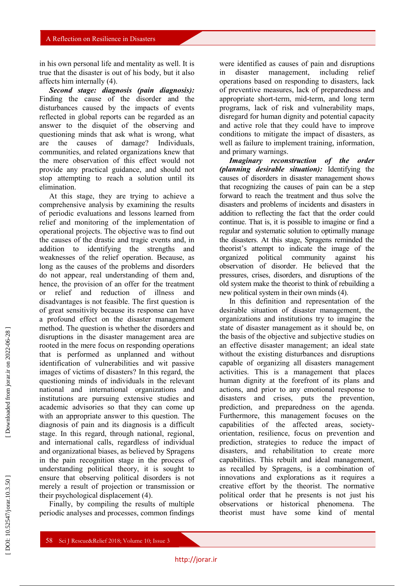in his own personal life and mentality as well. It is true that the disaster is out of his body, but it also affects him internally (4).

*Second stage: diagnosis (pain diagnosis) :* Finding the cause of the disorder and the disturbances caused by the impacts of events reflected in global reports can be regarded as an answer to the disquiet of the observing and questioning minds that ask what is wrong, what are the causes of damage? Individuals, communities, and related organizations knew that the mere observation of this effect would not provide any practical guidance, and should not stop attempting to reach a solution until its elimination.

At this stage, they are trying to achieve a comprehensive analysis by examining the results of periodic evaluations and lessons learned from relief and monitoring of the implementation of operational projects. The objective was to find out the causes of the drastic and tragic events and, in addition to identifying the strengths and weaknesses of the relief operation. Because, as long as the causes of the problems and disorders do not appear, real understanding of them and, hence, the provision of an offer for the treatment or relief and reduction of illness and disadvantages is not feasible. The first question is of great sensitivity because its response can have a profound effect on the disaster management method. The question is whether the disorders and disruptions in the disaster management area are rooted in the mere focus on responding operations that is performed as unplanned and without identification of vulnerabilities and wit passive images of victims of disasters? In this regard, the questioning minds of individuals in the relevant national and international organizations and institutions are pursuing extensive studies and academic advisories so that they can come up with an appropriate answer to this question. The diagnosis of pain and its diagnosis is a difficult stage. In this regard, through national, regional, and international calls, regardless of individual and organizational biases, as believed by Spragens in the pain recognition stage in the process of understanding political theory, it is sought to ensure that observing political disorders is not merely a result of projection or transmission or their psychological displacement (4).

Finally, by compiling the results of multiple periodic analyses and processes, common findings

were identified as causes of pain and disruptions in disaster management, including relief operations based on responding to disasters, lack of preventive measures, lack of preparedness and appropriate short - term, mid -term, and long term programs, lack of risk and vulnerability maps, disregard for human dignity and potential capacity and active role that they could have to improve conditions to mitigate the impact of disasters, as well as failure to implement training, information, and primary warnings.

*Imaginary reconstruction of the order (planning desirable situation) :* Identifying the causes of disorders in disaster management shows that recognizing the causes of pain can be a step forward to reach the treatment and thus solve the disasters and problems of incidents and disasters in addition to reflecting the fact that the order could continue. That is, it is possible to imagine or find a regular and systematic solution to optimally manage the disasters. At this stage, Spragens reminded the theorist's attempt to indicate the image of the organized political community against his observation of disorder. He believed that the pressures, crises, disorders, and disruptions of the old system make the theorist to think of rebuilding a new political system in their own minds (4).

In this definition and representation of the desirable situation of disaster management, the organizations and institutions try to imagine the state of disaster management as it should be, on the basis of the objective and subjective studies on an effective disaster management; an ideal state without the existing disturbances and disruptions capable of organizing all disasters management activities. This is a management that places human dignity at the forefront of its plans and actions, and prior to any emotional response to disasters and crises, puts the prevention, prediction, and preparedness on the agenda. Furthermore, this management focuses on the capabilities of the affected areas, society orientation, resilience, focus on prevention and prediction, strategies to reduce the impact of disasters, and rehabilitation to create more capabilities. This rebuilt and ideal management, as recalled by Spragens, is a combination of innovations and explorations as it requires a creative effort by the theorist. The normative political order that he presents is not just his observations or historical phenomena. The theorist must have some kind of mental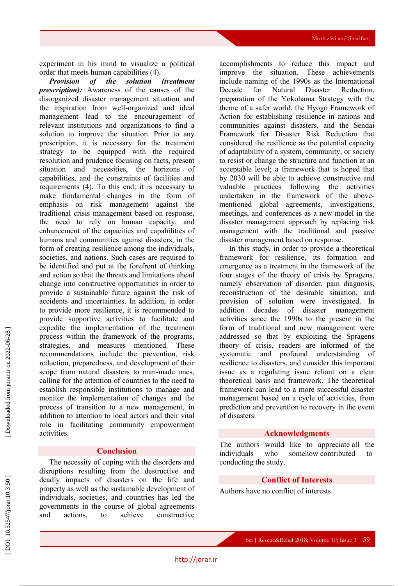experiment in his mind to visualize a political order that meets human capabilities (4).

*Provision of the solution (treatment prescription) :* Awareness of the causes of the disorganized disaster management situation and the inspiration from well -organized and ideal management lead to the encouragement of relevant institutions and organizations to find a solution to improve the situation. Prior to any prescription, it is necessary for the treatment strategy to be equipped with the required resolution and prudence focusing on facts, present situation and necessities, the horizons of capabilities, and the constraints of facilities and requirements (4). To this end, it is necessary to make fundamental changes in the form of emphasis on risk management against the traditional crisis management based on response, the need to rely on human capacity, and enhancement of the capacities and capabilities of humans and communities against disasters, in the form of creating resilience among the individuals, societies, and nations. Such cases are required to be identified and put at the forefront of thinking and action so that the threats and limitations ahead change into constructive opportunities in order to provide a sustainable future against the risk of accidents and uncertainties. In addition, in order to provide more resilience, it is recommended to provide supportive activities to facilitate and expedite the implementation of the treatment process within the framework of the programs, strategies, and measures mentioned. These recommendations include the prevention, risk reduction, preparedness, and development of their scope from natural disasters to man -made ones, calling for the attention of countries to the need to establish responsible institutions to manage and monitor the implementation of changes and the process of transition to a new management, in addition to attention to local actors and their vital role in facilitating community empowerment activities .

### **Conclusion**

The necessity of coping with the disorders and disruptions resulting from the destructive and deadly impacts of disasters on the life and property as well as the sustainable development of individuals, societies, and countries has led the governments in the course of global agreements and actions, to achieve constructive

accomplishments to reduce this impact and improve the situation. These achievements include naming of the 1990s as the International Decade for Natural Disaster Reduction, preparation of the Yokohama Strategy with the theme of a safer world, the Hyogo Framework of Action for establishing resilience in nations and communities against disasters, and the Sendai Framework for Disaster Risk Reduction that considered the resilience as the potential capacity of adaptability of a system, community, or society to resist or change the structure and function at an acceptable level ; a framework that is hoped that by 2030 will be able to achieve constructive and valuable practices following the activities undertaken in the framework of the above mentioned global agreements, investigations, meetings, and conferences as a new model in the disaster management approach by replacing risk management with the traditional and passive disaster management based on response.

In this study, in order to provide a theoretical framework for resilience, its formation and emergence as a treatment in the framework of the four stages of the theory of crisis by Spragens, namely observation of disorder, pain diagnosis, reconstruction of the desirable situation, and provision of solution were investigated. In addition decades of disaster management activities since the 1990s to the present in the form of traditional and new management were addressed so that by exploiting the Spragens theory of crisis, readers are informed of the systematic and profound understanding of resilience to disasters, and consider this important issue as a regulating issue reliant on a clear theoretical basis and framework. Th e theoretical framework can lead to a more successful disaster management based on a cycle of activities, from prediction and prevention to recovery in the event of disasters.

#### **Acknowledgments**

The authors would like to appreciate all the individuals who somehow contributed to conducting the study .

#### **Conflict of Interests**

Authors have no conflict of interests.

DOI: 10.52547/jorar.10.3.50